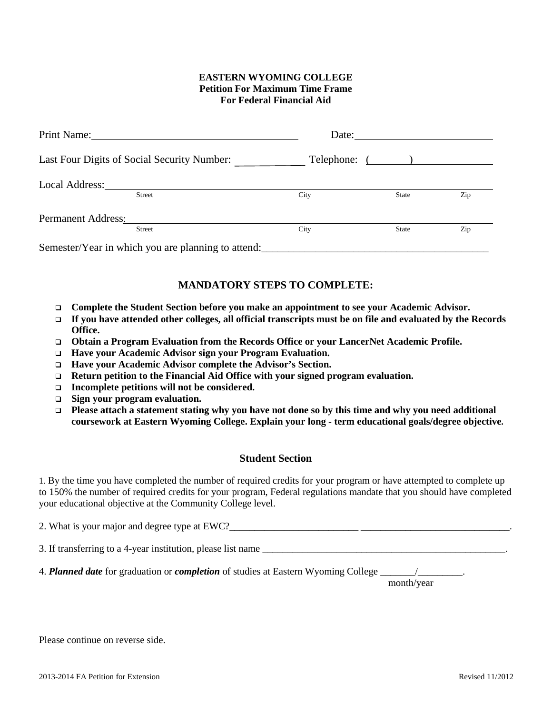## **EASTERN WYOMING COLLEGE Petition For Maximum Time Frame For Federal Financial Aid**

| Print Name:                                        |               | Date: |               |     |  |  |
|----------------------------------------------------|---------------|-------|---------------|-----|--|--|
| Last Four Digits of Social Security Number:        |               |       | Telephone: () |     |  |  |
| Local Address:                                     | Street        | City  | <b>State</b>  | Zip |  |  |
| <b>Permanent Address:</b>                          |               |       |               |     |  |  |
|                                                    | <b>Street</b> | City  | <b>State</b>  | Zip |  |  |
| Semester/Year in which you are planning to attend: |               |       |               |     |  |  |

## **MANDATORY STEPS TO COMPLETE:**

- **Complete the Student Section before you make an appointment to see your Academic Advisor.**
- **If you have attended other colleges, all official transcripts must be on file and evaluated by the Records Office.**
- **Obtain a Program Evaluation from the Records Office or your LancerNet Academic Profile.**
- **Have your Academic Advisor sign your Program Evaluation.**
- **Have your Academic Advisor complete the Advisor's Section.**
- **Return petition to the Financial Aid Office with your signed program evaluation.**
- **Incomplete petitions will not be considered.**
- **Sign your program evaluation.**
- **Please attach a statement stating why you have not done so by this time and why you need additional coursework at Eastern Wyoming College. Explain your long - term educational goals/degree objective.**

## **Student Section**

1. By the time you have completed the number of required credits for your program or have attempted to complete up to 150% the number of required credits for your program, Federal regulations mandate that you should have completed your educational objective at the Community College level.

| 2. What is your major and degree type at EWC? |  |
|-----------------------------------------------|--|
|                                               |  |

3. If transferring to a 4-year institution, please list name \_\_\_\_\_\_\_\_\_\_\_\_\_\_\_\_\_\_\_\_\_\_\_\_\_\_\_\_\_\_\_\_\_\_\_\_\_\_\_\_\_\_\_\_\_\_\_\_\_.

4. *Planned date* for graduation or *completion* of studies at Eastern Wyoming College  $\frac{1}{2}$ 

month/year

Please continue on reverse side.